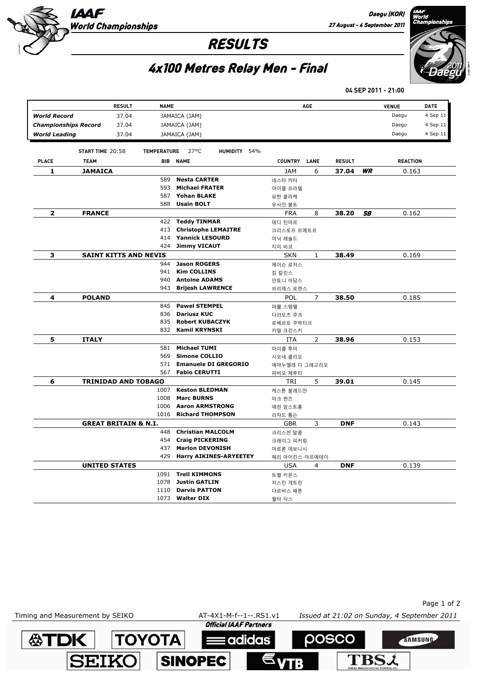

Daegu (KOR)

## RESULTS



## 4x100 Metres Relay Men - Final

**04 SEP 2011 - 21:00**

|                             | <b>RESULT</b>                   | <b>NAME</b>        |                            |                               |                | AGE            |               |    | <b>VENUE</b>    | DATE     |
|-----------------------------|---------------------------------|--------------------|----------------------------|-------------------------------|----------------|----------------|---------------|----|-----------------|----------|
| <b>World Record</b>         | 37.04                           |                    | JAMAICA (JAM)              |                               |                |                |               |    | Daegu           | 4 Sep 11 |
| <b>Championships Record</b> | 37.04                           |                    | JAMAICA (JAM)              |                               |                |                |               |    | Daegu           | 4 Sep 11 |
| <b>World Leading</b>        | 37.04                           |                    | JAMAICA (JAM)              |                               |                |                |               |    | Daegu           | 4 Sep 11 |
|                             |                                 |                    |                            |                               |                |                |               |    |                 |          |
|                             | START TIME 20:58                | <b>TEMPERATURE</b> | $27^{\circ}$ C             | HUMIDITY 54%                  |                |                |               |    |                 |          |
| PLACE                       | <b>TEAM</b>                     | BIB                | <b>NAME</b>                |                               | <b>COUNTRY</b> | LANE           | <b>RESULT</b> |    | <b>REACTION</b> |          |
| 1                           | JAMAICA                         |                    |                            |                               | JAM            | 6              | 37.04         | WR | 0.163           |          |
|                             |                                 | 589                | <b>Nesta CARTER</b>        |                               | 네스타 카터         |                |               |    |                 |          |
|                             |                                 | 593                | <b>Michael FRATER</b>      |                               | 마이클 프라텔        |                |               |    |                 |          |
|                             |                                 | 587                | <b>Yohan BLAKE</b>         |                               | 요한 블라케         |                |               |    |                 |          |
|                             |                                 | 588                | <b>Usain BOLT</b>          |                               | 우사인 볼트         |                |               |    |                 |          |
| 2                           | <b>FRANCE</b>                   |                    |                            |                               | <b>FRA</b>     | 8              | 38.20         | SΒ | 0.162           |          |
|                             |                                 | 422                | <b>Teddy TINMAR</b>        |                               | 테디 틴마르         |                |               |    |                 |          |
|                             |                                 | 413                | <b>Christophe LEMAITRE</b> |                               | 크리스토프 르메트르     |                |               |    |                 |          |
|                             |                                 | 414                | <b>Yannick LESOURD</b>     |                               | 야닉 레솔드         |                |               |    |                 |          |
|                             |                                 | 424                | <b>Jimmy VICAUT</b>        |                               | 지미 비코          |                |               |    |                 |          |
| 3                           | <b>SAINT KITTS AND NEVIS</b>    |                    |                            |                               | <b>SKN</b>     | $\mathbf{1}$   | 38.49         |    | 0.169           |          |
|                             |                                 | 944                | <b>Jason ROGERS</b>        |                               | 제이슨 로저스        |                |               |    |                 |          |
|                             |                                 | 941                | <b>Kim COLLINS</b>         |                               | 킴 칼린스          |                |               |    |                 |          |
|                             |                                 | 940                | <b>Antoine ADAMS</b>       |                               | 안토니 아담스        |                |               |    |                 |          |
|                             |                                 | 943                | <b>Brijesh LAWRENCE</b>    |                               | 브리제스 로렌스       |                |               |    |                 |          |
| 4                           | <b>POLAND</b>                   |                    |                            |                               | POL            | $\overline{7}$ | 38.50         |    | 0.185           |          |
|                             |                                 | 845                | <b>Pawel STEMPEL</b>       |                               | 파웰 스템팰         |                |               |    |                 |          |
|                             |                                 | 836                | <b>Dariusz KUC</b>         |                               | 다리오츠 쿠크        |                |               |    |                 |          |
|                             |                                 | 835                | <b>Robert KUBACZYK</b>     |                               | 로베르트 쿠박티크      |                |               |    |                 |          |
|                             |                                 | 832                | <b>Kamil KRYNSKI</b>       |                               | 카밀 크린스키        |                |               |    |                 |          |
| 5                           | <b>ITALY</b>                    |                    |                            |                               | ITA            | 2              | 38.96         |    | 0.153           |          |
|                             |                                 | 581                | <b>Michael TUMI</b>        |                               | 마이클 투미         |                |               |    |                 |          |
|                             |                                 | 569                | <b>Simone COLLIO</b>       |                               | 시모네 콜리오        |                |               |    |                 |          |
|                             |                                 | 571                |                            | <b>Emanuele DI GREGORIO</b>   | 에마누엘레 디 그레고리오  |                |               |    |                 |          |
|                             |                                 | 567                | <b>Fabio CERUTTI</b>       |                               | 파비오 체루티        |                |               |    |                 |          |
| 6                           | <b>TRINIDAD AND TOBAGO</b>      |                    |                            |                               | TRI            | 5              | 39.01         |    | 0.145           |          |
|                             |                                 | 1007               | <b>Keston BLEDMAN</b>      |                               | 케스톤 블레드만       |                |               |    |                 |          |
|                             |                                 | 1008               | <b>Marc BURNS</b>          |                               | 마크 번즈          |                |               |    |                 |          |
|                             |                                 | 1006               | <b>Aaron ARMSTRONG</b>     |                               | 애런 암스트롱        |                |               |    |                 |          |
|                             |                                 | 1016               | <b>Richard THOMPSON</b>    |                               | 리차드 톰슨         |                |               |    |                 |          |
|                             | <b>GREAT BRITAIN &amp; N.I.</b> |                    |                            |                               | GBR            | 3              | <b>DNF</b>    |    | 0.143           |          |
|                             |                                 | 448                | <b>Christian MALCOLM</b>   |                               | 크리스천 말콤        |                |               |    |                 |          |
|                             |                                 | 454                | <b>Craig PICKERING</b>     |                               | 크래이그 피커링       |                |               |    |                 |          |
|                             |                                 | 437                | <b>Marlon DEVONISH</b>     |                               | 마르론 데보니시       |                |               |    |                 |          |
|                             |                                 | 429                |                            | <b>Harry AIKINES-ARYEETEY</b> | 해리 아이킨스-아르예테이  |                |               |    |                 |          |
|                             | <b>UNITED STATES</b>            |                    |                            |                               | USA            | 4              | <b>DNF</b>    |    | 0.139           |          |
|                             |                                 | 1091               | <b>Trell KIMMONS</b>       |                               | 트렐 키몬스         |                |               |    |                 |          |
|                             |                                 | 1078               | <b>Justin GATLIN</b>       |                               | 저스틴 개트린        |                |               |    |                 |          |
|                             |                                 | 1110               | <b>Darvis PATTON</b>       |                               | 다르비스 패튼        |                |               |    |                 |          |
|                             |                                 | 1073               | <b>Walter DIX</b>          |                               | 월터 딕스          |                |               |    |                 |          |
|                             |                                 |                    |                            |                               |                |                |               |    |                 |          |